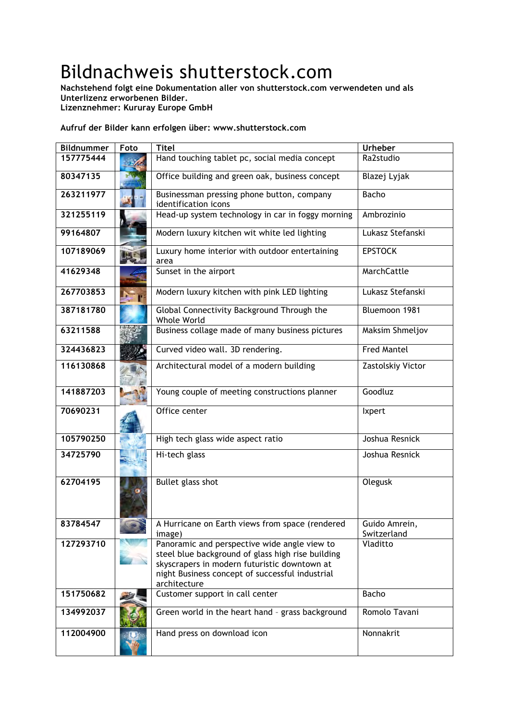## Bildnachweis shutterstock.com

**Nachstehend folgt eine Dokumentation aller von shutterstock.com verwendeten und als Unterlizenz erworbenen Bilder.**

**Lizenznehmer: Kururay Europe GmbH**

## **Aufruf der Bilder kann erfolgen über: www.shutterstock.com**

| <b>Bildnummer</b> | Foto | <b>Titel</b>                                                                                                                                                                                                         | <b>Urheber</b>               |
|-------------------|------|----------------------------------------------------------------------------------------------------------------------------------------------------------------------------------------------------------------------|------------------------------|
| 157775444         |      | Hand touching tablet pc, social media concept                                                                                                                                                                        | Ra2studio                    |
| 80347135          |      | Office building and green oak, business concept                                                                                                                                                                      | Blazej Lyjak                 |
| 263211977         |      | Businessman pressing phone button, company<br>identification icons                                                                                                                                                   | Bacho                        |
| 321255119         |      | Head-up system technology in car in foggy morning                                                                                                                                                                    | Ambrozinio                   |
| 99164807          |      | Modern luxury kitchen wit white led lighting                                                                                                                                                                         | Lukasz Stefanski             |
| 107189069         |      | Luxury home interior with outdoor entertaining<br>area                                                                                                                                                               | <b>EPSTOCK</b>               |
| 41629348          |      | Sunset in the airport                                                                                                                                                                                                | MarchCattle                  |
| 267703853         |      | Modern luxury kitchen with pink LED lighting                                                                                                                                                                         | Lukasz Stefanski             |
| 387181780         |      | Global Connectivity Background Through the<br>Whole World                                                                                                                                                            | Bluemoon 1981                |
| 63211588          |      | Business collage made of many business pictures                                                                                                                                                                      | Maksim Shmeljov              |
| 324436823         |      | Curved video wall. 3D rendering.                                                                                                                                                                                     | <b>Fred Mantel</b>           |
| 116130868         |      | Architectural model of a modern building                                                                                                                                                                             | Zastolskiy Victor            |
| 141887203         |      | Young couple of meeting constructions planner                                                                                                                                                                        | Goodluz                      |
| 70690231          |      | Office center                                                                                                                                                                                                        | <b>Ixpert</b>                |
| 105790250         |      | High tech glass wide aspect ratio                                                                                                                                                                                    | Joshua Resnick               |
| 34725790          |      | Hi-tech glass                                                                                                                                                                                                        | Joshua Resnick               |
| 62704195          |      | Bullet glass shot                                                                                                                                                                                                    | Olegusk                      |
| 83784547          |      | A Hurricane on Earth views from space (rendered<br>image)                                                                                                                                                            | Guido Amrein,<br>Switzerland |
| 127293710         |      | Panoramic and perspective wide angle view to<br>steel blue background of glass high rise building<br>skyscrapers in modern futuristic downtown at<br>night Business concept of successful industrial<br>architecture | Vladitto                     |
| 151750682         |      | Customer support in call center                                                                                                                                                                                      | Bacho                        |
| 134992037         |      | Green world in the heart hand - grass background                                                                                                                                                                     | Romolo Tavani                |
| 112004900         |      | Hand press on download icon                                                                                                                                                                                          | Nonnakrit                    |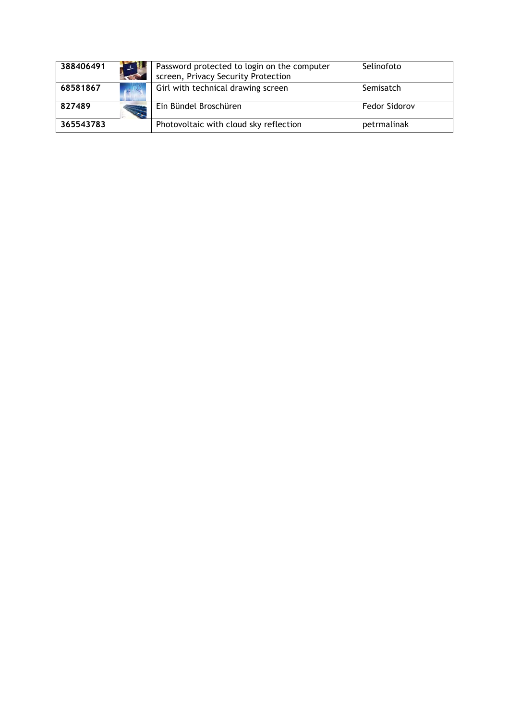| 388406491 | Password protected to login on the computer<br>screen, Privacy Security Protection | Selinofoto    |
|-----------|------------------------------------------------------------------------------------|---------------|
| 68581867  | Girl with technical drawing screen                                                 | Semisatch     |
| 827489    | Ein Bündel Broschüren                                                              | Fedor Sidorov |
| 365543783 | Photovoltaic with cloud sky reflection                                             | petrmalinak   |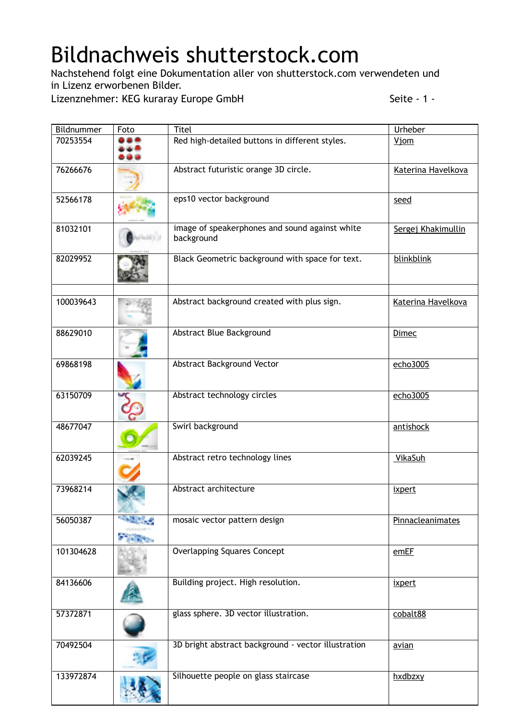## Bildnachweis shutterstock.com

Nachstehend folgt eine Dokumentation aller von shutterstock.com verwendeten und in Lizenz erworbenen Bilder.

Lizenznehmer: KEG kuraray Europe GmbH Seite - 1 -

| Bildnummer | Foto | <b>Titel</b>                                                 | Urheber            |
|------------|------|--------------------------------------------------------------|--------------------|
| 70253554   |      | Red high-detailed buttons in different styles.               | <b>Vjom</b>        |
| 76266676   |      | Abstract futuristic orange 3D circle.                        | Katerina Havelkova |
| 52566178   |      | eps10 vector background                                      | seed               |
| 81032101   |      | image of speakerphones and sound against white<br>background | Sergej Khakimullin |
| 82029952   |      | Black Geometric background with space for text.              | blinkblink         |
| 100039643  |      | Abstract background created with plus sign.                  | Katerina Havelkova |
| 88629010   |      | Abstract Blue Background                                     | <b>Dimec</b>       |
| 69868198   |      | Abstract Background Vector                                   | echo3005           |
| 63150709   |      | Abstract technology circles                                  | echo3005           |
| 48677047   |      | Swirl background                                             | antishock          |
| 62039245   |      | Abstract retro technology lines                              | VikaSuh            |
| 73968214   |      | Abstract architecture                                        | ixpert             |
| 56050387   |      | mosaic vector pattern design                                 | Pinnacleanimates   |
| 101304628  |      | <b>Overlapping Squares Concept</b>                           | emEF               |
| 84136606   |      | Building project. High resolution.                           | ixpert             |
| 57372871   |      | glass sphere. 3D vector illustration.                        | cobalt88           |
| 70492504   |      | 3D bright abstract background - vector illustration          | avian              |
| 133972874  |      | Silhouette people on glass staircase                         | hxdbzxy            |